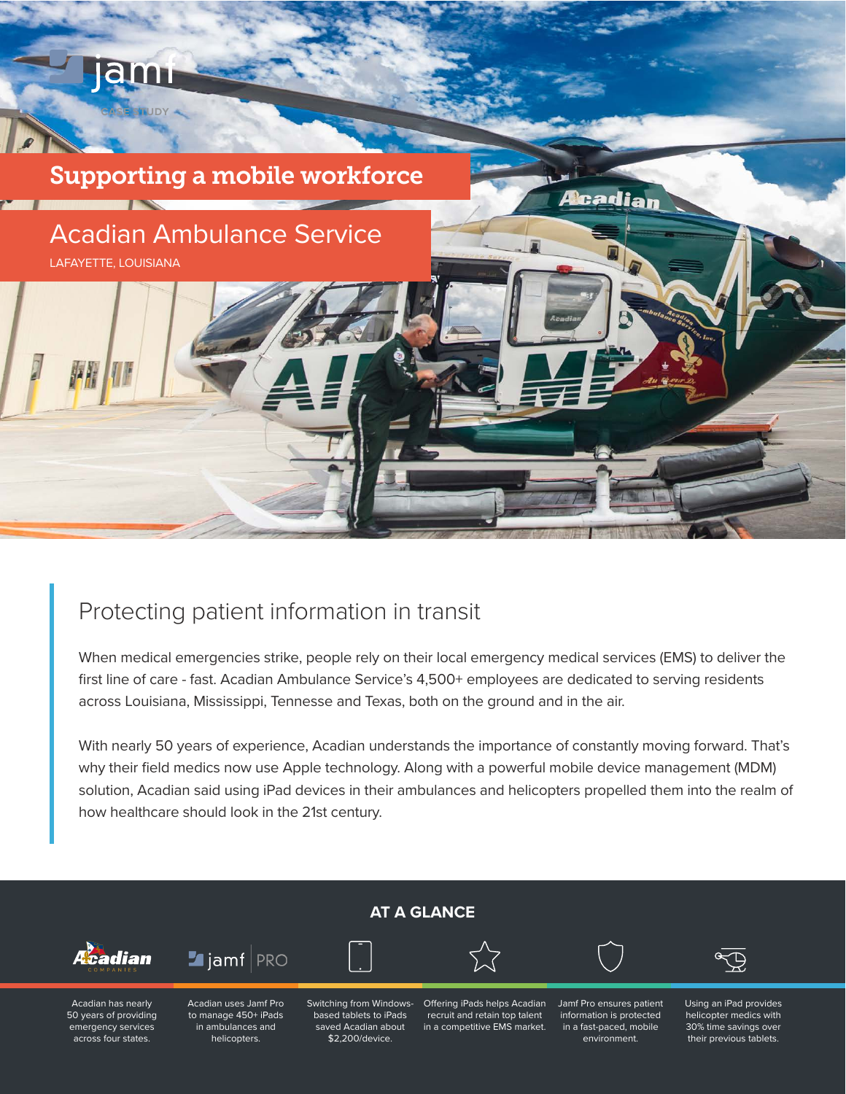

# Protecting patient information in transit

When medical emergencies strike, people rely on their local emergency medical services (EMS) to deliver the first line of care - fast. Acadian Ambulance Service's 4,500+ employees are dedicated to serving residents across Louisiana, Mississippi, Tennesse and Texas, both on the ground and in the air.

With nearly 50 years of experience, Acadian understands the importance of constantly moving forward. That's why their field medics now use Apple technology. Along with a powerful mobile device management (MDM) solution, Acadian said using iPad devices in their ambulances and helicopters propelled them into the realm of how healthcare should look in the 21st century.

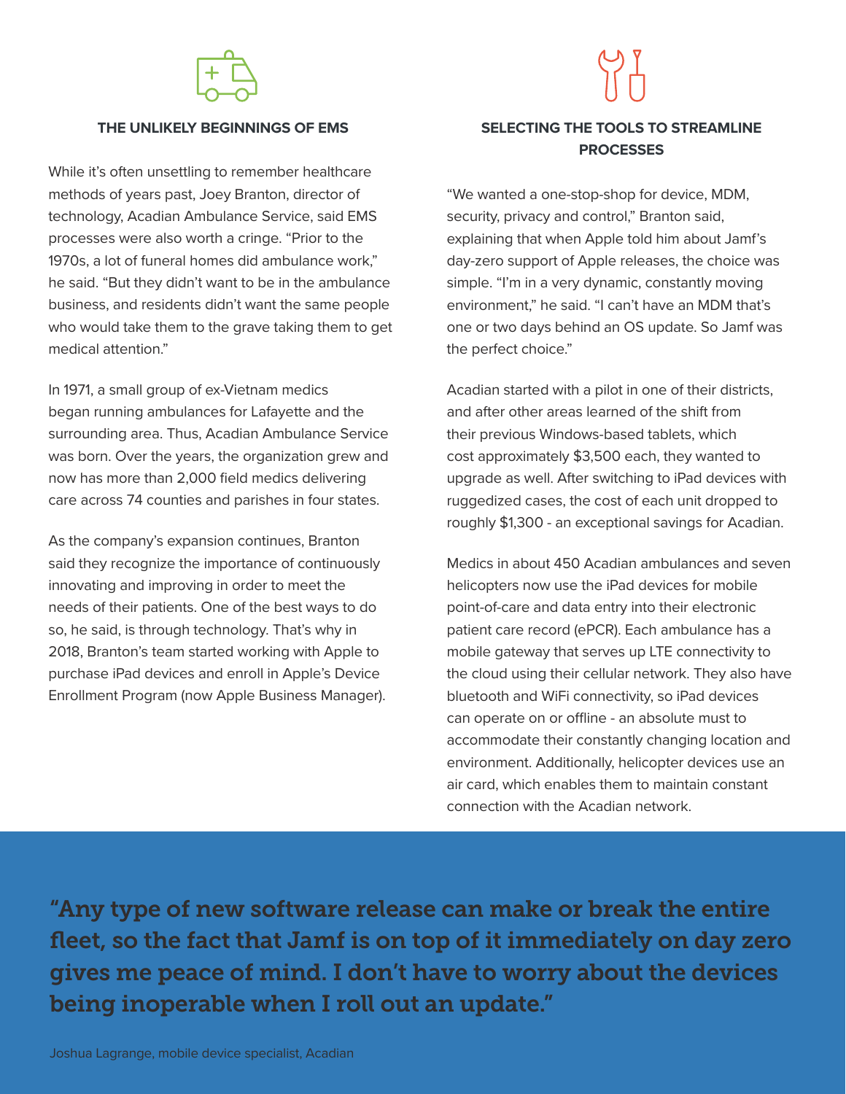

#### **THE UNLIKELY BEGINNINGS OF EMS**

While it's often unsettling to remember healthcare methods of years past, Joey Branton, director of technology, Acadian Ambulance Service, said EMS processes were also worth a cringe. "Prior to the 1970s, a lot of funeral homes did ambulance work," he said. "But they didn't want to be in the ambulance business, and residents didn't want the same people who would take them to the grave taking them to get medical attention."

In 1971, a small group of ex-Vietnam medics began running ambulances for Lafayette and the surrounding area. Thus, Acadian Ambulance Service was born. Over the years, the organization grew and now has more than 2,000 field medics delivering care across 74 counties and parishes in four states.

As the company's expansion continues, Branton said they recognize the importance of continuously innovating and improving in order to meet the needs of their patients. One of the best ways to do so, he said, is through technology. That's why in 2018, Branton's team started working with Apple to purchase iPad devices and enroll in Apple's Device Enrollment Program (now Apple Business Manager).

## **SELECTING THE TOOLS TO STREAMLINE PROCESSES**

"We wanted a one-stop-shop for device, MDM, security, privacy and control," Branton said, explaining that when Apple told him about Jamf's day-zero support of Apple releases, the choice was simple. "I'm in a very dynamic, constantly moving environment," he said. "I can't have an MDM that's one or two days behind an OS update. So Jamf was the perfect choice."

Acadian started with a pilot in one of their districts, and after other areas learned of the shift from their previous Windows-based tablets, which cost approximately \$3,500 each, they wanted to upgrade as well. After switching to iPad devices with ruggedized cases, the cost of each unit dropped to roughly \$1,300 - an exceptional savings for Acadian.

Medics in about 450 Acadian ambulances and seven helicopters now use the iPad devices for mobile point-of-care and data entry into their electronic patient care record (ePCR). Each ambulance has a mobile gateway that serves up LTE connectivity to the cloud using their cellular network. They also have bluetooth and WiFi connectivity, so iPad devices can operate on or offline - an absolute must to accommodate their constantly changing location and environment. Additionally, helicopter devices use an air card, which enables them to maintain constant connection with the Acadian network.

"Any type of new software release can make or break the entire fleet, so the fact that Jamf is on top of it immediately on day zero gives me peace of mind. I don't have to worry about the devices being inoperable when I roll out an update."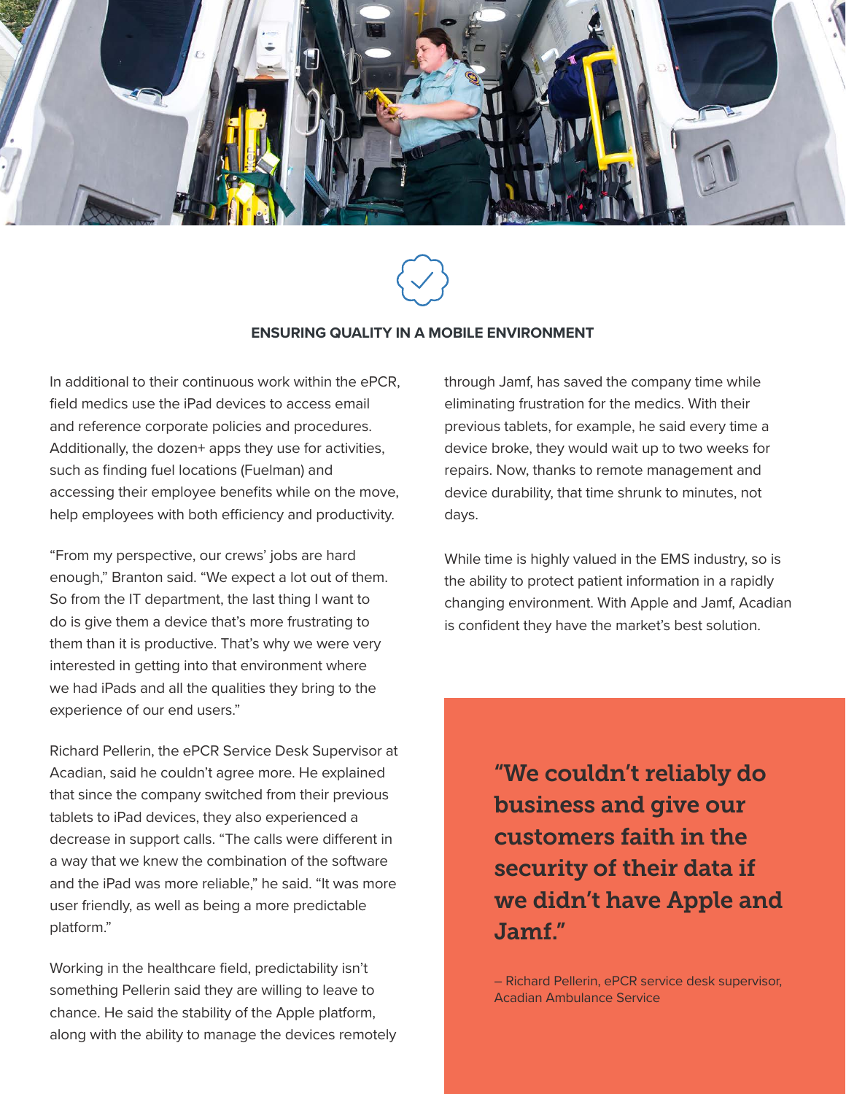



#### **ENSURING QUALITY IN A MOBILE ENVIRONMENT**

In additional to their continuous work within the ePCR, field medics use the iPad devices to access email and reference corporate policies and procedures. Additionally, the dozen+ apps they use for activities, such as finding fuel locations (Fuelman) and accessing their employee benefits while on the move, help employees with both efficiency and productivity.

"From my perspective, our crews' jobs are hard enough," Branton said. "We expect a lot out of them. So from the IT department, the last thing I want to do is give them a device that's more frustrating to them than it is productive. That's why we were very interested in getting into that environment where we had iPads and all the qualities they bring to the experience of our end users."

Richard Pellerin, the ePCR Service Desk Supervisor at Acadian, said he couldn't agree more. He explained that since the company switched from their previous tablets to iPad devices, they also experienced a decrease in support calls. "The calls were different in a way that we knew the combination of the software and the iPad was more reliable," he said. "It was more user friendly, as well as being a more predictable platform."

Working in the healthcare field, predictability isn't something Pellerin said they are willing to leave to chance. He said the stability of the Apple platform, along with the ability to manage the devices remotely through Jamf, has saved the company time while eliminating frustration for the medics. With their previous tablets, for example, he said every time a device broke, they would wait up to two weeks for repairs. Now, thanks to remote management and device durability, that time shrunk to minutes, not days.

While time is highly valued in the EMS industry, so is the ability to protect patient information in a rapidly changing environment. With Apple and Jamf, Acadian is confident they have the market's best solution.

> "We couldn't reliably do business and give our customers faith in the security of their data if we didn't have Apple and Jamf."

> – Richard Pellerin, ePCR service desk supervisor, Acadian Ambulance Service